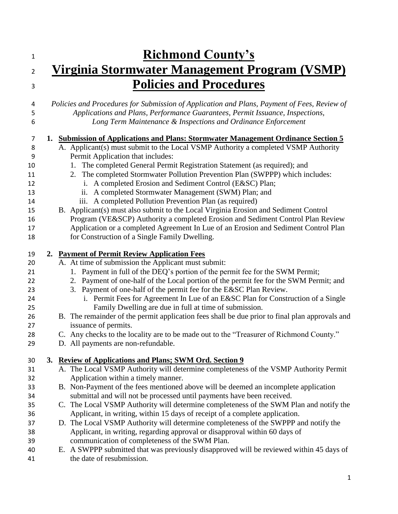| $\mathbf{1}$   | <b>Richmond County's</b>                                                                                                                       |  |
|----------------|------------------------------------------------------------------------------------------------------------------------------------------------|--|
| $\overline{2}$ | <u>Virginia Stormwater Management Program (VSMP)</u>                                                                                           |  |
| 3              | <b>Policies and Procedures</b>                                                                                                                 |  |
| 4              | Policies and Procedures for Submission of Application and Plans, Payment of Fees, Review of                                                    |  |
| 5<br>6         | Applications and Plans, Performance Guarantees, Permit Issuance, Inspections,<br>Long Term Maintenance & Inspections and Ordinance Enforcement |  |
| 7              | 1. Submission of Applications and Plans: Stormwater Management Ordinance Section 5                                                             |  |
| 8              | A. Applicant(s) must submit to the Local VSMP Authority a completed VSMP Authority                                                             |  |
| 9              | Permit Application that includes:                                                                                                              |  |
| 10             | The completed General Permit Registration Statement (as required); and                                                                         |  |
| 11             | The completed Stormwater Pollution Prevention Plan (SWPPP) which includes:<br>2.                                                               |  |
| 12<br>13       | i. A completed Erosion and Sediment Control (E&SC) Plan;<br>ii. A completed Stormwater Management (SWM) Plan; and                              |  |
| 14             | iii. A completed Pollution Prevention Plan (as required)                                                                                       |  |
| 15             | B. Applicant(s) must also submit to the Local Virginia Erosion and Sediment Control                                                            |  |
| 16             | Program (VE&SCP) Authority a completed Erosion and Sediment Control Plan Review                                                                |  |
| 17             | Application or a completed Agreement In Lue of an Erosion and Sediment Control Plan                                                            |  |
| 18             | for Construction of a Single Family Dwelling.                                                                                                  |  |
|                |                                                                                                                                                |  |
| 19             | <b>Payment of Permit Review Application Fees</b><br>2.                                                                                         |  |
| 20             | A. At time of submission the Applicant must submit:                                                                                            |  |
| 21             | Payment in full of the DEQ's portion of the permit fee for the SWM Permit;<br>1.                                                               |  |
| 22             | 2. Payment of one-half of the Local portion of the permit fee for the SWM Permit; and                                                          |  |
| 23             | 3. Payment of one-half of the permit fee for the E&SC Plan Review.                                                                             |  |
| 24             | i. Permit Fees for Agreement In Lue of an E&SC Plan for Construction of a Single                                                               |  |
| 25             | Family Dwelling are due in full at time of submission.                                                                                         |  |
| 26             | B. The remainder of the permit application fees shall be due prior to final plan approvals and                                                 |  |
| 27             | issuance of permits.                                                                                                                           |  |
| 28<br>29       | C. Any checks to the locality are to be made out to the "Treasurer of Richmond County."<br>D. All payments are non-refundable.                 |  |
|                |                                                                                                                                                |  |
| 30             | 3. Review of Applications and Plans; SWM Ord. Section 9                                                                                        |  |
| 31             | A. The Local VSMP Authority will determine completeness of the VSMP Authority Permit                                                           |  |
| 32             | Application within a timely manner.                                                                                                            |  |
| 33             | B. Non-Payment of the fees mentioned above will be deemed an incomplete application                                                            |  |
| 34             | submittal and will not be processed until payments have been received.                                                                         |  |
| 35             | C. The Local VSMP Authority will determine completeness of the SWM Plan and notify the                                                         |  |
| 36             | Applicant, in writing, within 15 days of receipt of a complete application.                                                                    |  |
| 37             | D. The Local VSMP Authority will determine completeness of the SWPPP and notify the                                                            |  |
| 38             | Applicant, in writing, regarding approval or disapproval within 60 days of                                                                     |  |
| 39             | communication of completeness of the SWM Plan.                                                                                                 |  |

 E. A SWPPP submitted that was previously disapproved will be reviewed within 45 days of the date of resubmission.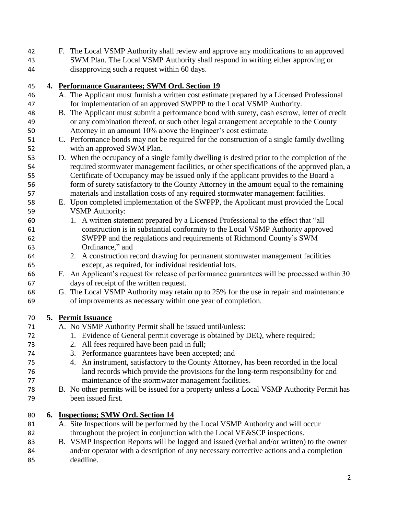| 42<br>43<br>44 |    | F. The Local VSMP Authority shall review and approve any modifications to an approved<br>SWM Plan. The Local VSMP Authority shall respond in writing either approving or<br>disapproving such a request within 60 days. |
|----------------|----|-------------------------------------------------------------------------------------------------------------------------------------------------------------------------------------------------------------------------|
| 45             |    | 4. Performance Guarantees; SWM Ord. Section 19                                                                                                                                                                          |
| 46             |    | A. The Applicant must furnish a written cost estimate prepared by a Licensed Professional                                                                                                                               |
| 47             |    | for implementation of an approved SWPPP to the Local VSMP Authority.                                                                                                                                                    |
| 48             |    | B. The Applicant must submit a performance bond with surety, cash escrow, letter of credit                                                                                                                              |
| 49             |    | or any combination thereof, or such other legal arrangement acceptable to the County                                                                                                                                    |
| 50             |    | Attorney in an amount 10% above the Engineer's cost estimate.                                                                                                                                                           |
| 51             |    | C. Performance bonds may not be required for the construction of a single family dwelling                                                                                                                               |
| 52             |    | with an approved SWM Plan.                                                                                                                                                                                              |
| 53             |    | D. When the occupancy of a single family dwelling is desired prior to the completion of the                                                                                                                             |
| 54             |    | required stormwater management facilities, or other specifications of the approved plan, a                                                                                                                              |
| 55             |    | Certificate of Occupancy may be issued only if the applicant provides to the Board a                                                                                                                                    |
| 56             |    | form of surety satisfactory to the County Attorney in the amount equal to the remaining                                                                                                                                 |
| 57             |    | materials and installation costs of any required stormwater management facilities.                                                                                                                                      |
| 58             |    | E. Upon completed implementation of the SWPPP, the Applicant must provided the Local                                                                                                                                    |
| 59             |    | <b>VSMP</b> Authority:                                                                                                                                                                                                  |
| 60             |    | 1. A written statement prepared by a Licensed Professional to the effect that "all                                                                                                                                      |
| 61             |    | construction is in substantial conformity to the Local VSMP Authority approved                                                                                                                                          |
| 62             |    | SWPPP and the regulations and requirements of Richmond County's SWM                                                                                                                                                     |
| 63             |    | Ordinance," and                                                                                                                                                                                                         |
| 64             |    | 2. A construction record drawing for permanent stormwater management facilities                                                                                                                                         |
| 65             |    | except, as required, for individual residential lots.                                                                                                                                                                   |
| 66             |    | F. An Applicant's request for release of performance guarantees will be processed within 30                                                                                                                             |
| 67             |    | days of receipt of the written request.                                                                                                                                                                                 |
| 68             |    | G. The Local VSMP Authority may retain up to 25% for the use in repair and maintenance                                                                                                                                  |
| 69             |    | of improvements as necessary within one year of completion.                                                                                                                                                             |
| 70             |    | 5. Permit Issuance                                                                                                                                                                                                      |
| 71             |    | A. No VSMP Authority Permit shall be issued until/unless:                                                                                                                                                               |
| 72             |    | 1. Evidence of General permit coverage is obtained by DEQ, where required;                                                                                                                                              |
| 73             |    | 2. All fees required have been paid in full;                                                                                                                                                                            |
| 74             |    | 3. Performance guarantees have been accepted; and                                                                                                                                                                       |
| 75             |    | 4. An instrument, satisfactory to the County Attorney, has been recorded in the local                                                                                                                                   |
| 76             |    | land records which provide the provisions for the long-term responsibility for and                                                                                                                                      |
| 77             |    | maintenance of the stormwater management facilities.                                                                                                                                                                    |
| 78             |    | B. No other permits will be issued for a property unless a Local VSMP Authority Permit has                                                                                                                              |
| 79             |    | been issued first.                                                                                                                                                                                                      |
| 80             | 6. | <b>Inspections; SMW Ord. Section 14</b>                                                                                                                                                                                 |
| 81             |    | A. Site Inspections will be performed by the Local VSMP Authority and will occur                                                                                                                                        |
| 82             |    | throughout the project in conjunction with the Local VE&SCP inspections.                                                                                                                                                |
| 83             |    | B. VSMP Inspection Reports will be logged and issued (verbal and/or written) to the owner                                                                                                                               |
| 84             |    | and/or operator with a description of any necessary corrective actions and a completion                                                                                                                                 |
| 85             |    | deadline.                                                                                                                                                                                                               |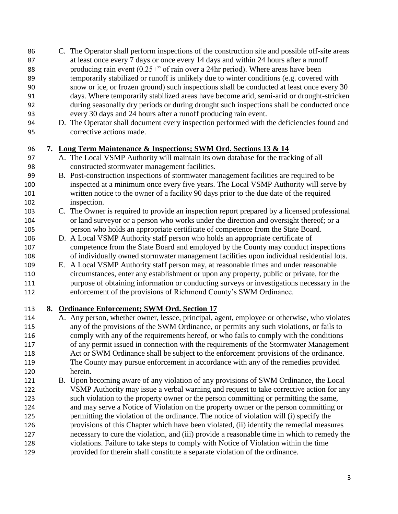- C. The Operator shall perform inspections of the construction site and possible off-site areas
- at least once every 7 days or once every 14 days and within 24 hours after a runoff
- producing rain event (0.25+" of rain over a 24hr period). Where areas have been temporarily stabilized or runoff is unlikely due to winter conditions (e.g. covered with
- snow or ice, or frozen ground) such inspections shall be conducted at least once every 30 days. Where temporarily stabilized areas have become arid, semi-arid or drought-stricken during seasonally dry periods or during drought such inspections shall be conducted once every 30 days and 24 hours after a runoff producing rain event.
- D. The Operator shall document every inspection performed with the deficiencies found and corrective actions made.

## **7. Long Term Maintenance & Inspections; SWM Ord. Sections 13 & 14**

- A. The Local VSMP Authority will maintain its own database for the tracking of all constructed stormwater management facilities.
- B. Post-construction inspections of stormwater management facilities are required to be inspected at a minimum once every five years. The Local VSMP Authority will serve by written notice to the owner of a facility 90 days prior to the due date of the required inspection.
- C. The Owner is required to provide an inspection report prepared by a licensed professional or land surveyor or a person who works under the direction and oversight thereof; or a person who holds an appropriate certificate of competence from the State Board.
- D. A Local VSMP Authority staff person who holds an appropriate certificate of competence from the State Board and employed by the County may conduct inspections of individually owned stormwater management facilities upon individual residential lots.
- E. A Local VSMP Authority staff person may, at reasonable times and under reasonable circumstances, enter any establishment or upon any property, public or private, for the purpose of obtaining information or conducting surveys or investigations necessary in the enforcement of the provisions of Richmond County's SWM Ordinance.

## **8. Ordinance Enforcement; SWM Ord. Section 17**

- A. Any person, whether owner, lessee, principal, agent, employee or otherwise, who violates any of the provisions of the SWM Ordinance, or permits any such violations, or fails to comply with any of the requirements hereof, or who fails to comply with the conditions of any permit issued in connection with the requirements of the Stormwater Management Act or SWM Ordinance shall be subject to the enforcement provisions of the ordinance. The County may pursue enforcement in accordance with any of the remedies provided herein.
- B. Upon becoming aware of any violation of any provisions of SWM Ordinance, the Local VSMP Authority may issue a verbal warning and request to take corrective action for any such violation to the property owner or the person committing or permitting the same, and may serve a Notice of Violation on the property owner or the person committing or permitting the violation of the ordinance. The notice of violation will (i) specify the provisions of this Chapter which have been violated, (ii) identify the remedial measures necessary to cure the violation, and (iii) provide a reasonable time in which to remedy the violations. Failure to take steps to comply with Notice of Violation within the time provided for therein shall constitute a separate violation of the ordinance.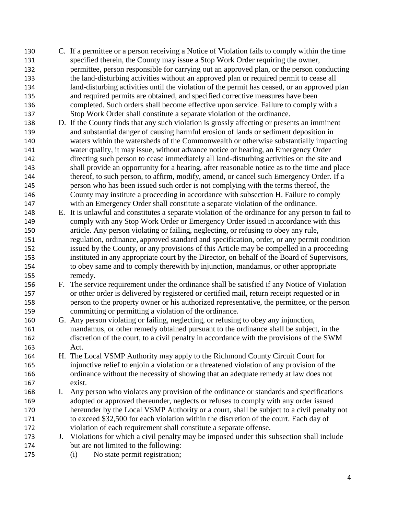- C. If a permittee or a person receiving a Notice of Violation fails to comply within the time specified therein, the County may issue a Stop Work Order requiring the owner, permittee, person responsible for carrying out an approved plan, or the person conducting the land-disturbing activities without an approved plan or required permit to cease all land-disturbing activities until the violation of the permit has ceased, or an approved plan and required permits are obtained, and specified corrective measures have been completed. Such orders shall become effective upon service. Failure to comply with a Stop Work Order shall constitute a separate violation of the ordinance.
- D. If the County finds that any such violation is grossly affecting or presents an imminent and substantial danger of causing harmful erosion of lands or sediment deposition in waters within the watersheds of the Commonwealth or otherwise substantially impacting water quality, it may issue, without advance notice or hearing, an Emergency Order directing such person to cease immediately all land-disturbing activities on the site and shall provide an opportunity for a hearing, after reasonable notice as to the time and place thereof, to such person, to affirm, modify, amend, or cancel such Emergency Order. If a person who has been issued such order is not complying with the terms thereof, the County may institute a proceeding in accordance with subsection H. Failure to comply with an Emergency Order shall constitute a separate violation of the ordinance.
- E. It is unlawful and constitutes a separate violation of the ordinance for any person to fail to comply with any Stop Work Order or Emergency Order issued in accordance with this article. Any person violating or failing, neglecting, or refusing to obey any rule, regulation, ordinance, approved standard and specification, order, or any permit condition issued by the County, or any provisions of this Article may be compelled in a proceeding instituted in any appropriate court by the Director, on behalf of the Board of Supervisors, to obey same and to comply therewith by injunction, mandamus, or other appropriate remedy.
- F. The service requirement under the ordinance shall be satisfied if any Notice of Violation or other order is delivered by registered or certified mail, return receipt requested or in person to the property owner or his authorized representative, the permittee, or the person committing or permitting a violation of the ordinance.
- G. Any person violating or failing, neglecting, or refusing to obey any injunction, mandamus, or other remedy obtained pursuant to the ordinance shall be subject, in the discretion of the court, to a civil penalty in accordance with the provisions of the SWM Act.
- H. The Local VSMP Authority may apply to the Richmond County Circuit Court for injunctive relief to enjoin a violation or a threatened violation of any provision of the ordinance without the necessity of showing that an adequate remedy at law does not exist.
- I. Any person who violates any provision of the ordinance or standards and specifications adopted or approved thereunder, neglects or refuses to comply with any order issued hereunder by the Local VSMP Authority or a court, shall be subject to a civil penalty not to exceed \$32,500 for each violation within the discretion of the court. Each day of violation of each requirement shall constitute a separate offense.
- J. Violations for which a civil penalty may be imposed under this subsection shall include but are not limited to the following:
- (i) No state permit registration;